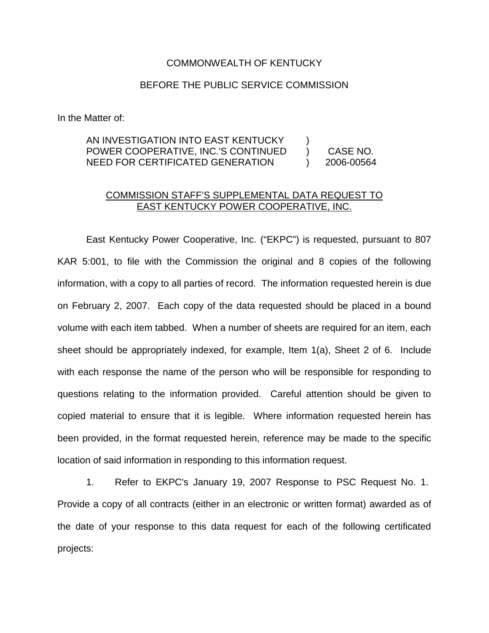## COMMONWEALTH OF KENTUCKY

## BEFORE THE PUBLIC SERVICE COMMISSION

In the Matter of:

## AN INVESTIGATION INTO EAST KENTUCKY POWER COOPERATIVE, INC.'S CONTINUED NEED FOR CERTIFICATED GENERATION ) ) CASE NO. ) 2006-00564

## COMMISSION STAFF'S SUPPLEMENTAL DATA REQUEST TO EAST KENTUCKY POWER COOPERATIVE, INC.

East Kentucky Power Cooperative, Inc. ("EKPC") is requested, pursuant to 807 KAR 5:001, to file with the Commission the original and 8 copies of the following information, with a copy to all parties of record. The information requested herein is due on February 2, 2007. Each copy of the data requested should be placed in a bound volume with each item tabbed. When a number of sheets are required for an item, each sheet should be appropriately indexed, for example, Item 1(a), Sheet 2 of 6. Include with each response the name of the person who will be responsible for responding to questions relating to the information provided. Careful attention should be given to copied material to ensure that it is legible. Where information requested herein has been provided, in the format requested herein, reference may be made to the specific location of said information in responding to this information request.

1. Refer to EKPC's January 19, 2007 Response to PSC Request No. 1. Provide a copy of all contracts (either in an electronic or written format) awarded as of the date of your response to this data request for each of the following certificated projects: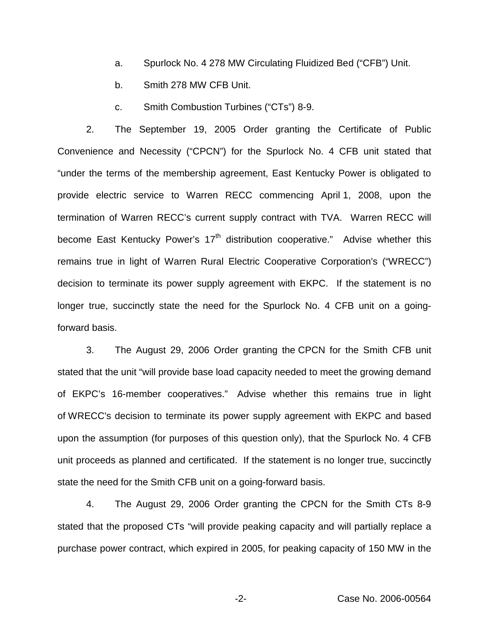- a. Spurlock No. 4 278 MW Circulating Fluidized Bed ("CFB") Unit.
- b. Smith 278 MW CFB Unit.
- c. Smith Combustion Turbines ("CTs") 8-9.

2. The September 19, 2005 Order granting the Certificate of Public Convenience and Necessity ("CPCN") for the Spurlock No. 4 CFB unit stated that "under the terms of the membership agreement, East Kentucky Power is obligated to provide electric service to Warren RECC commencing April 1, 2008, upon the termination of Warren RECC's current supply contract with TVA. Warren RECC will become East Kentucky Power's  $17<sup>th</sup>$  distribution cooperative." Advise whether this remains true in light of Warren Rural Electric Cooperative Corporation's ("WRECC") decision to terminate its power supply agreement with EKPC. If the statement is no longer true, succinctly state the need for the Spurlock No. 4 CFB unit on a goingforward basis.

3. The August 29, 2006 Order granting the CPCN for the Smith CFB unit stated that the unit "will provide base load capacity needed to meet the growing demand of EKPC's 16-member cooperatives." Advise whether this remains true in light of WRECC's decision to terminate its power supply agreement with EKPC and based upon the assumption (for purposes of this question only), that the Spurlock No. 4 CFB unit proceeds as planned and certificated. If the statement is no longer true, succinctly state the need for the Smith CFB unit on a going-forward basis.

4. The August 29, 2006 Order granting the CPCN for the Smith CTs 8-9 stated that the proposed CTs "will provide peaking capacity and will partially replace a purchase power contract, which expired in 2005, for peaking capacity of 150 MW in the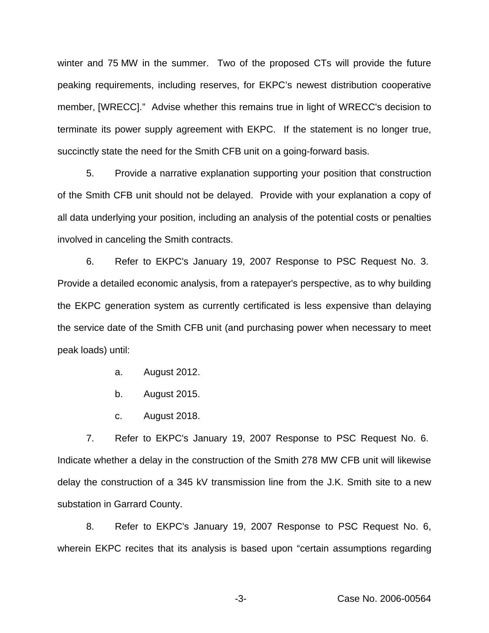winter and 75 MW in the summer. Two of the proposed CTs will provide the future peaking requirements, including reserves, for EKPC's newest distribution cooperative member, [WRECC]." Advise whether this remains true in light of WRECC's decision to terminate its power supply agreement with EKPC. If the statement is no longer true, succinctly state the need for the Smith CFB unit on a going-forward basis.

5. Provide a narrative explanation supporting your position that construction of the Smith CFB unit should not be delayed. Provide with your explanation a copy of all data underlying your position, including an analysis of the potential costs or penalties involved in canceling the Smith contracts.

6. Refer to EKPC's January 19, 2007 Response to PSC Request No. 3. Provide a detailed economic analysis, from a ratepayer's perspective, as to why building the EKPC generation system as currently certificated is less expensive than delaying the service date of the Smith CFB unit (and purchasing power when necessary to meet peak loads) until:

- a. August 2012.
- b. August 2015.
- c. August 2018.

7. Refer to EKPC's January 19, 2007 Response to PSC Request No. 6. Indicate whether a delay in the construction of the Smith 278 MW CFB unit will likewise delay the construction of a 345 kV transmission line from the J.K. Smith site to a new substation in Garrard County.

8. Refer to EKPC's January 19, 2007 Response to PSC Request No. 6, wherein EKPC recites that its analysis is based upon "certain assumptions regarding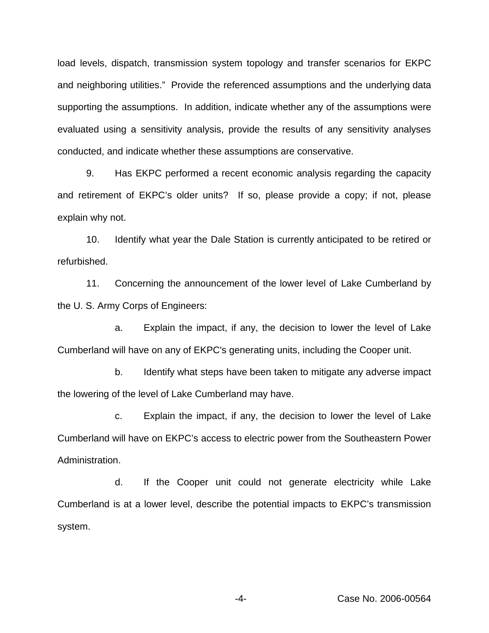load levels, dispatch, transmission system topology and transfer scenarios for EKPC and neighboring utilities." Provide the referenced assumptions and the underlying data supporting the assumptions. In addition, indicate whether any of the assumptions were evaluated using a sensitivity analysis, provide the results of any sensitivity analyses conducted, and indicate whether these assumptions are conservative.

9. Has EKPC performed a recent economic analysis regarding the capacity and retirement of EKPC's older units? If so, please provide a copy; if not, please explain why not.

10. Identify what year the Dale Station is currently anticipated to be retired or refurbished.

11. Concerning the announcement of the lower level of Lake Cumberland by the U. S. Army Corps of Engineers:

a. Explain the impact, if any, the decision to lower the level of Lake Cumberland will have on any of EKPC's generating units, including the Cooper unit.

b. Identify what steps have been taken to mitigate any adverse impact the lowering of the level of Lake Cumberland may have.

c. Explain the impact, if any, the decision to lower the level of Lake Cumberland will have on EKPC's access to electric power from the Southeastern Power Administration.

d. If the Cooper unit could not generate electricity while Lake Cumberland is at a lower level, describe the potential impacts to EKPC's transmission system.

-4- Case No. 2006-00564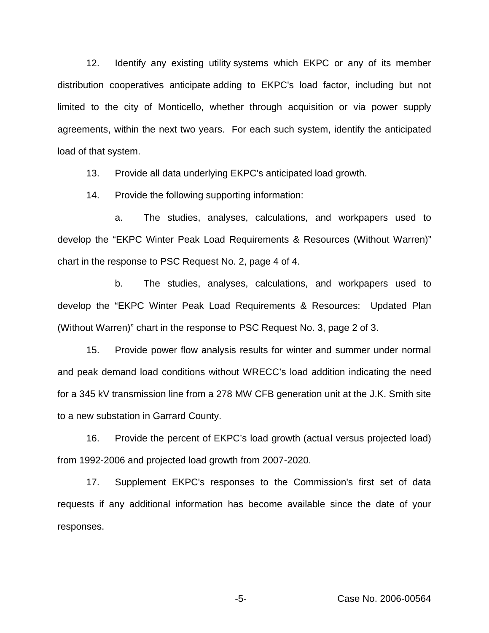12. Identify any existing utility systems which EKPC or any of its member distribution cooperatives anticipate adding to EKPC's load factor, including but not limited to the city of Monticello, whether through acquisition or via power supply agreements, within the next two years. For each such system, identify the anticipated load of that system.

13. Provide all data underlying EKPC's anticipated load growth.

14. Provide the following supporting information:

a. The studies, analyses, calculations, and workpapers used to develop the "EKPC Winter Peak Load Requirements & Resources (Without Warren)" chart in the response to PSC Request No. 2, page 4 of 4.

b. The studies, analyses, calculations, and workpapers used to develop the "EKPC Winter Peak Load Requirements & Resources: Updated Plan (Without Warren)" chart in the response to PSC Request No. 3, page 2 of 3.

15. Provide power flow analysis results for winter and summer under normal and peak demand load conditions without WRECC's load addition indicating the need for a 345 kV transmission line from a 278 MW CFB generation unit at the J.K. Smith site to a new substation in Garrard County.

16. Provide the percent of EKPC's load growth (actual versus projected load) from 1992-2006 and projected load growth from 2007-2020.

17. Supplement EKPC's responses to the Commission's first set of data requests if any additional information has become available since the date of your responses.

-5- Case No. 2006-00564